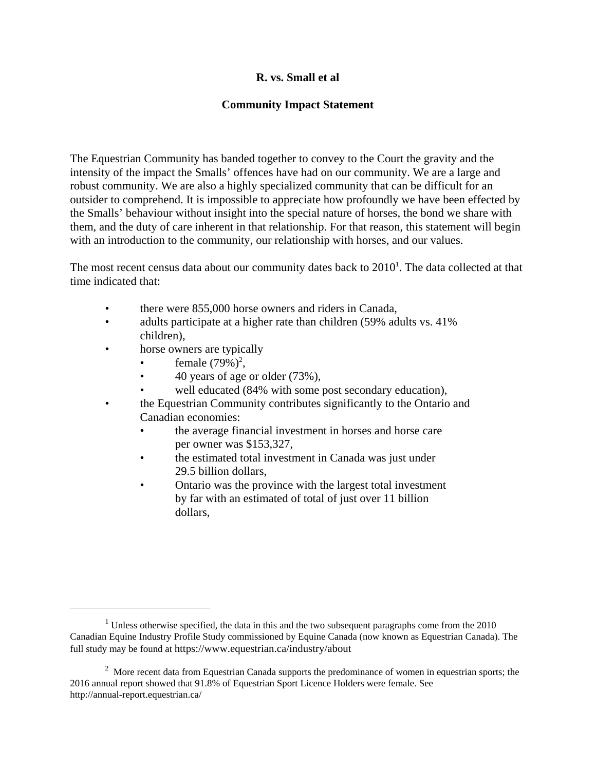## **R. vs. Small et al**

## **Community Impact Statement**

The Equestrian Community has banded together to convey to the Court the gravity and the intensity of the impact the Smalls' offences have had on our community. We are a large and robust community. We are also a highly specialized community that can be difficult for an outsider to comprehend. It is impossible to appreciate how profoundly we have been effected by the Smalls' behaviour without insight into the special nature of horses, the bond we share with them, and the duty of care inherent in that relationship. For that reason, this statement will begin with an introduction to the community, our relationship with horses, and our values.

The most recent census data about our community dates back to  $2010<sup>1</sup>$ . The data collected at that time indicated that:

- there were 855,000 horse owners and riders in Canada,
- adults participate at a higher rate than children (59% adults vs. 41%) children),
- horse owners are typically
	- female  $(79\%)^2$ ,
	- 40 years of age or older (73%),
	- well educated (84% with some post secondary education),
- the Equestrian Community contributes significantly to the Ontario and Canadian economies:
	- the average financial investment in horses and horse care per owner was \$153,327,
	- the estimated total investment in Canada was just under 29.5 billion dollars,
	- Ontario was the province with the largest total investment by far with an estimated of total of just over 11 billion dollars,

 $1$  Unless otherwise specified, the data in this and the two subsequent paragraphs come from the 2010 Canadian Equine Industry Profile Study commissioned by Equine Canada (now known as Equestrian Canada). The full study may be found at https://www.equestrian.ca/industry/about

 $2$  More recent data from Equestrian Canada supports the predominance of women in equestrian sports; the 2016 annual report showed that 91.8% of Equestrian Sport Licence Holders were female. See http://annual-report.equestrian.ca/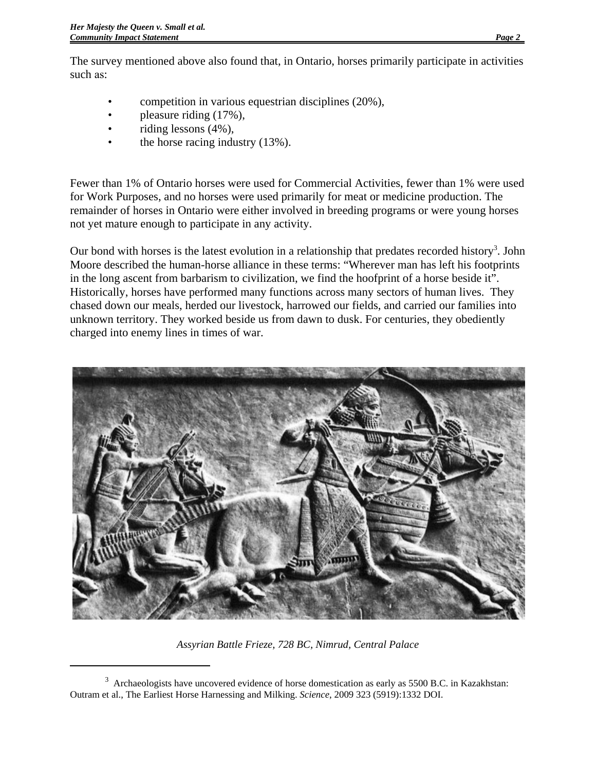The survey mentioned above also found that, in Ontario, horses primarily participate in activities such as:

- competition in various equestrian disciplines (20%),
- pleasure riding (17%),
- riding lessons  $(4\%)$ ,
- the horse racing industry  $(13%)$ .

Fewer than 1% of Ontario horses were used for Commercial Activities, fewer than 1% were used for Work Purposes, and no horses were used primarily for meat or medicine production. The remainder of horses in Ontario were either involved in breeding programs or were young horses not yet mature enough to participate in any activity.

Our bond with horses is the latest evolution in a relationship that predates recorded history<sup>3</sup>. John Moore described the human-horse alliance in these terms: "Wherever man has left his footprints in the long ascent from barbarism to civilization, we find the hoofprint of a horse beside it". Historically, horses have performed many functions across many sectors of human lives. They chased down our meals, herded our livestock, harrowed our fields, and carried our families into unknown territory. They worked beside us from dawn to dusk. For centuries, they obediently charged into enemy lines in times of war.



*Assyrian Battle Frieze, 728 BC, Nimrud, Central Palace*

 $3$  Archaeologists have uncovered evidence of horse domestication as early as 5500 B.C. in Kazakhstan: Outram et al., The Earliest Horse Harnessing and Milking. *Science*, 2009 323 (5919):1332 DOI.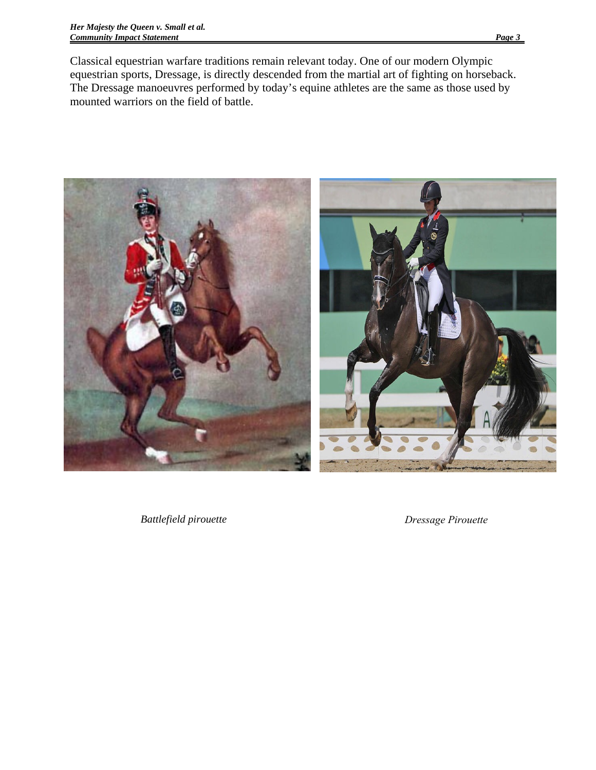Classical equestrian warfare traditions remain relevant today. One of our modern Olympic equestrian sports, Dressage, is directly descended from the martial art of fighting on horseback. The Dressage manoeuvres performed by today's equine athletes are the same as those used by mounted warriors on the field of battle.



*Battlefield pirouette Dressage Pirouette*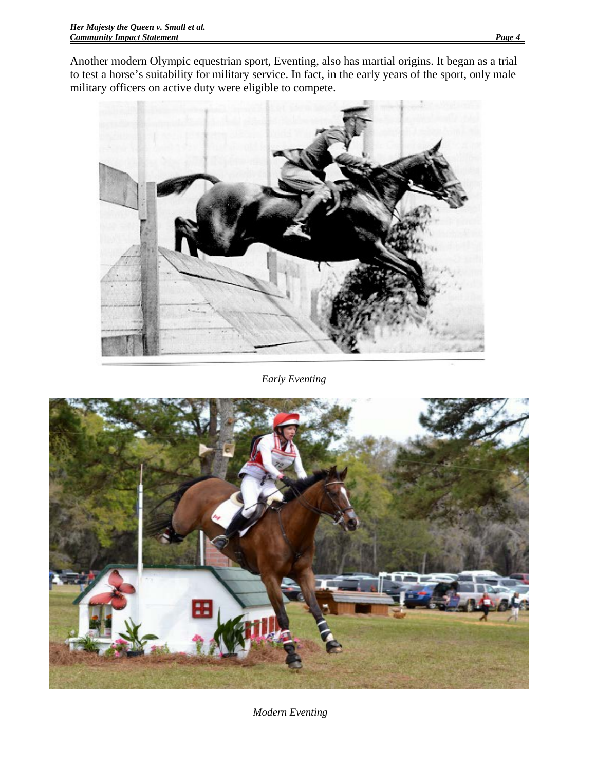Another modern Olympic equestrian sport, Eventing, also has martial origins. It began as a trial to test a horse's suitability for military service. In fact, in the early years of the sport, only male military officers on active duty were eligible to compete.



*Early Eventing*



*Modern Eventing*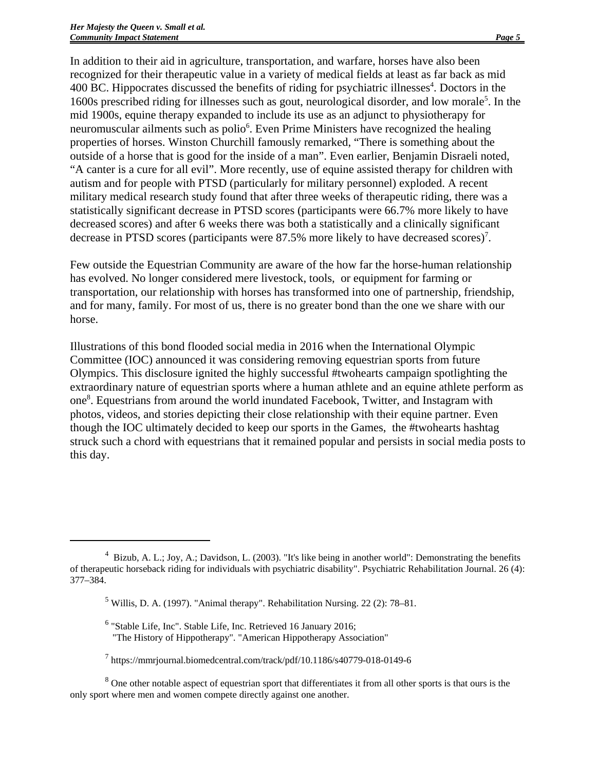In addition to their aid in agriculture, transportation, and warfare, horses have also been recognized for their therapeutic value in a variety of medical fields at least as far back as mid 400 BC. Hippocrates discussed the benefits of riding for psychiatric illnesses<sup>4</sup>. Doctors in the 1600s prescribed riding for illnesses such as gout, neurological disorder, and low morale<sup>5</sup>. In the mid 1900s, equine therapy expanded to include its use as an adjunct to physiotherapy for neuromuscular ailments such as polio<sup>6</sup>. Even Prime Ministers have recognized the healing properties of horses. Winston Churchill famously remarked, "There is something about the outside of a horse that is good for the inside of a man". Even earlier, Benjamin Disraeli noted, "A canter is a cure for all evil". More recently, use of equine assisted therapy for children with autism and for people with PTSD (particularly for military personnel) exploded. A recent military medical research study found that after three weeks of therapeutic riding, there was a statistically significant decrease in PTSD scores (participants were 66.7% more likely to have decreased scores) and after 6 weeks there was both a statistically and a clinically significant decrease in PTSD scores (participants were 87.5% more likely to have decreased scores)<sup>7</sup>.

Few outside the Equestrian Community are aware of the how far the horse-human relationship has evolved. No longer considered mere livestock, tools, or equipment for farming or transportation, our relationship with horses has transformed into one of partnership, friendship, and for many, family. For most of us, there is no greater bond than the one we share with our horse.

Illustrations of this bond flooded social media in 2016 when the International Olympic Committee (IOC) announced it was considering removing equestrian sports from future Olympics. This disclosure ignited the highly successful #twohearts campaign spotlighting the extraordinary nature of equestrian sports where a human athlete and an equine athlete perform as one8 . Equestrians from around the world inundated Facebook, Twitter, and Instagram with photos, videos, and stories depicting their close relationship with their equine partner. Even though the IOC ultimately decided to keep our sports in the Games, the #twohearts hashtag struck such a chord with equestrians that it remained popular and persists in social media posts to this day.

6 "Stable Life, Inc". Stable Life, Inc. Retrieved 16 January 2016; "The History of Hippotherapy". "American Hippotherapy Association"

 $8$  One other notable aspect of equestrian sport that differentiates it from all other sports is that ours is the only sport where men and women compete directly against one another.

<sup>&</sup>lt;sup>4</sup> Bizub, A. L.; Joy, A.; Davidson, L. (2003). "It's like being in another world": Demonstrating the benefits of therapeutic horseback riding for individuals with psychiatric disability". Psychiatric Rehabilitation Journal. 26 (4): 377–384.

 $<sup>5</sup>$  Willis, D. A. (1997). "Animal therapy". Rehabilitation Nursing. 22 (2): 78–81.</sup>

<sup>7</sup> https://mmrjournal.biomedcentral.com/track/pdf/10.1186/s40779-018-0149-6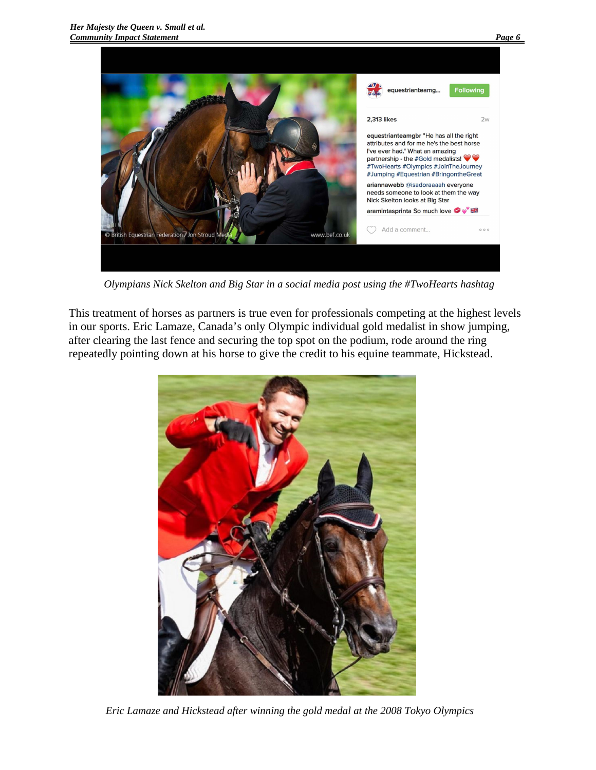

*Olympians Nick Skelton and Big Star in a social media post using the #TwoHearts hashtag*

This treatment of horses as partners is true even for professionals competing at the highest levels in our sports. Eric Lamaze, Canada's only Olympic individual gold medalist in show jumping, after clearing the last fence and securing the top spot on the podium, rode around the ring repeatedly pointing down at his horse to give the credit to his equine teammate, Hickstead.



*Eric Lamaze and Hickstead after winning the gold medal at the 2008 Tokyo Olympics*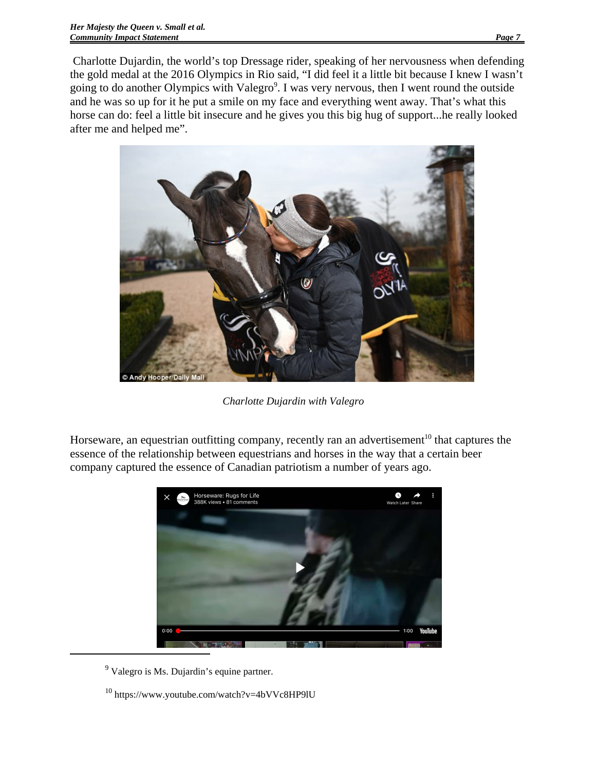Charlotte Dujardin, the world's top Dressage rider, speaking of her nervousness when defending the gold medal at the 2016 Olympics in Rio said, "I did feel it a little bit because I knew I wasn't going to do another Olympics with Valegro $9$ . I was very nervous, then I went round the outside and he was so up for it he put a smile on my face and everything went away. That's what this horse can do: feel a little bit insecure and he gives you this big hug of support...he really looked after me and helped me".



*Charlotte Dujardin with Valegro*

Horseware, an equestrian outfitting company, recently ran an advertisement<sup>10</sup> that captures the essence of the relationship between equestrians and horses in the way that a certain beer company captured the essence of Canadian patriotism a number of years ago.



<sup>9</sup> Valegro is Ms. Dujardin's equine partner.

<sup>&</sup>lt;sup>10</sup> https://www.youtube.com/watch?v=4bVVc8HP9lU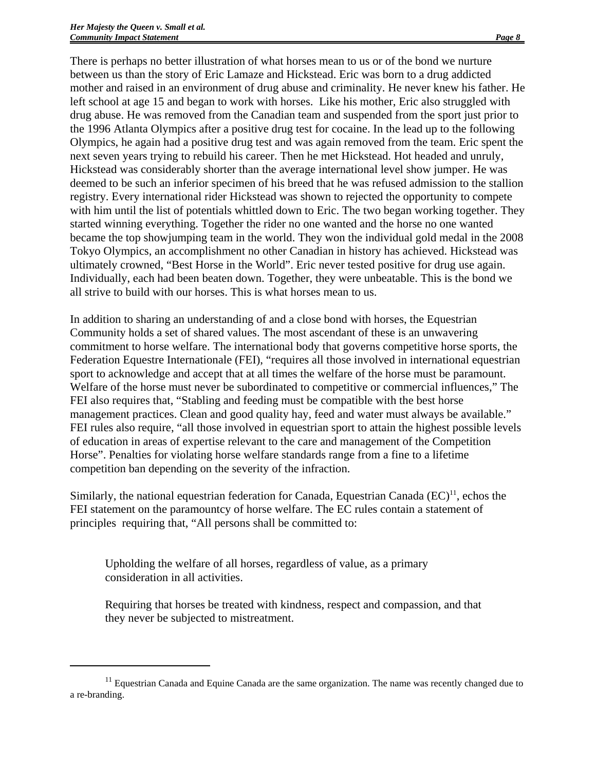There is perhaps no better illustration of what horses mean to us or of the bond we nurture between us than the story of Eric Lamaze and Hickstead. Eric was born to a drug addicted mother and raised in an environment of drug abuse and criminality. He never knew his father. He left school at age 15 and began to work with horses. Like his mother, Eric also struggled with drug abuse. He was removed from the Canadian team and suspended from the sport just prior to the 1996 Atlanta Olympics after a positive drug test for cocaine. In the lead up to the following Olympics, he again had a positive drug test and was again removed from the team. Eric spent the next seven years trying to rebuild his career. Then he met Hickstead. Hot headed and unruly, Hickstead was considerably shorter than the average international level show jumper. He was deemed to be such an inferior specimen of his breed that he was refused admission to the stallion registry. Every international rider Hickstead was shown to rejected the opportunity to compete with him until the list of potentials whittled down to Eric. The two began working together. They started winning everything. Together the rider no one wanted and the horse no one wanted became the top showjumping team in the world. They won the individual gold medal in the 2008 Tokyo Olympics, an accomplishment no other Canadian in history has achieved. Hickstead was ultimately crowned, "Best Horse in the World". Eric never tested positive for drug use again. Individually, each had been beaten down. Together, they were unbeatable. This is the bond we all strive to build with our horses. This is what horses mean to us.

In addition to sharing an understanding of and a close bond with horses, the Equestrian Community holds a set of shared values. The most ascendant of these is an unwavering commitment to horse welfare. The international body that governs competitive horse sports, the Federation Equestre Internationale (FEI), "requires all those involved in international equestrian sport to acknowledge and accept that at all times the welfare of the horse must be paramount. Welfare of the horse must never be subordinated to competitive or commercial influences," The FEI also requires that, "Stabling and feeding must be compatible with the best horse management practices. Clean and good quality hay, feed and water must always be available." FEI rules also require, "all those involved in equestrian sport to attain the highest possible levels of education in areas of expertise relevant to the care and management of the Competition Horse". Penalties for violating horse welfare standards range from a fine to a lifetime competition ban depending on the severity of the infraction.

Similarly, the national equestrian federation for Canada, Equestrian Canada  $(EC)^{11}$ , echos the FEI statement on the paramountcy of horse welfare. The EC rules contain a statement of principles requiring that, "All persons shall be committed to:

Upholding the welfare of all horses, regardless of value, as a primary consideration in all activities.

Requiring that horses be treated with kindness, respect and compassion, and that they never be subjected to mistreatment.

<sup>&</sup>lt;sup>11</sup> Equestrian Canada and Equine Canada are the same organization. The name was recently changed due to a re-branding.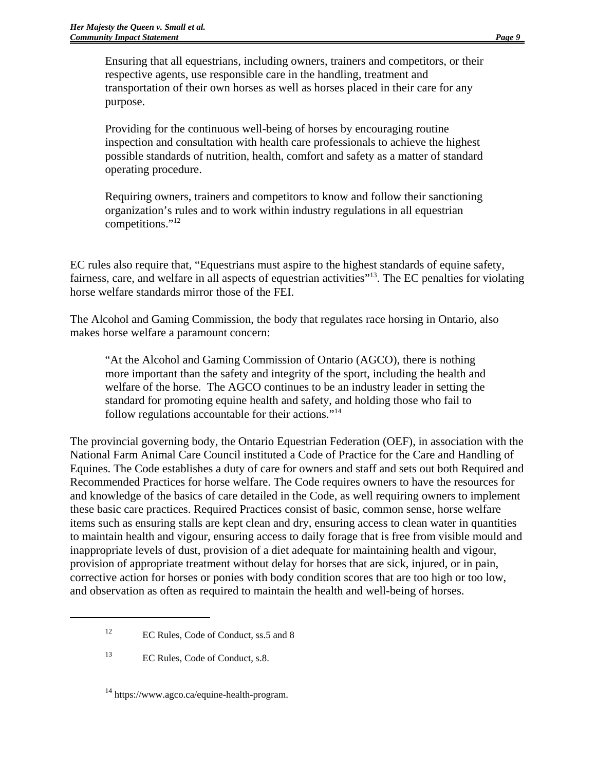Ensuring that all equestrians, including owners, trainers and competitors, or their respective agents, use responsible care in the handling, treatment and transportation of their own horses as well as horses placed in their care for any purpose.

Providing for the continuous well-being of horses by encouraging routine inspection and consultation with health care professionals to achieve the highest possible standards of nutrition, health, comfort and safety as a matter of standard operating procedure.

Requiring owners, trainers and competitors to know and follow their sanctioning organization's rules and to work within industry regulations in all equestrian competitions."<sup>12</sup>

EC rules also require that, "Equestrians must aspire to the highest standards of equine safety, fairness, care, and welfare in all aspects of equestrian activities"13. The EC penalties for violating horse welfare standards mirror those of the FEI.

The Alcohol and Gaming Commission, the body that regulates race horsing in Ontario, also makes horse welfare a paramount concern:

"At the Alcohol and Gaming Commission of Ontario (AGCO), there is nothing more important than the safety and integrity of the sport, including the health and welfare of the horse. The AGCO continues to be an industry leader in setting the standard for promoting equine health and safety, and holding those who fail to follow regulations accountable for their actions."14

The provincial governing body, the Ontario Equestrian Federation (OEF), in association with the National Farm Animal Care Council instituted a Code of Practice for the Care and Handling of Equines. The Code establishes a duty of care for owners and staff and sets out both Required and Recommended Practices for horse welfare. The Code requires owners to have the resources for and knowledge of the basics of care detailed in the Code, as well requiring owners to implement these basic care practices. Required Practices consist of basic, common sense, horse welfare items such as ensuring stalls are kept clean and dry, ensuring access to clean water in quantities to maintain health and vigour, ensuring access to daily forage that is free from visible mould and inappropriate levels of dust, provision of a diet adequate for maintaining health and vigour, provision of appropriate treatment without delay for horses that are sick, injured, or in pain, corrective action for horses or ponies with body condition scores that are too high or too low, and observation as often as required to maintain the health and well-being of horses.

<sup>&</sup>lt;sup>12</sup> EC Rules, Code of Conduct, ss.5 and 8

<sup>&</sup>lt;sup>13</sup> EC Rules, Code of Conduct, s.8.

<sup>14</sup> https://www.agco.ca/equine-health-program.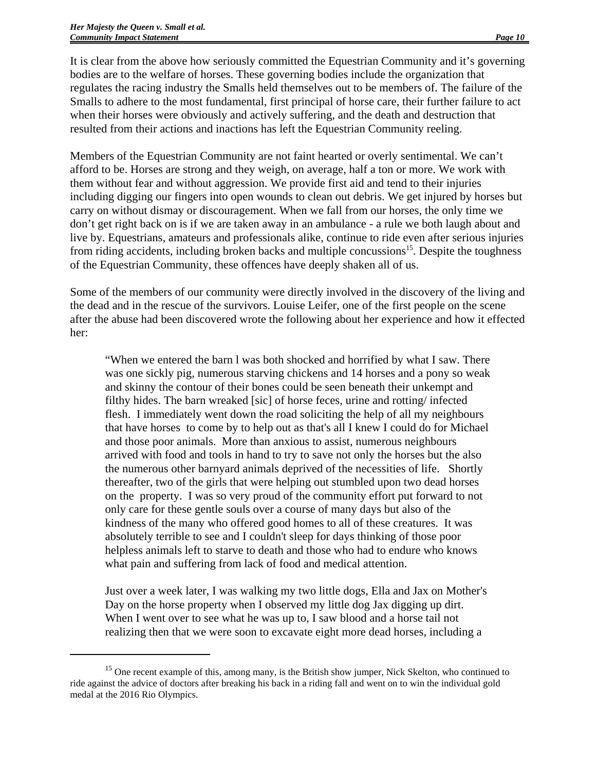It is clear from the above how seriously committed the Equestrian Community and it's governing bodies are to the welfare of horses. These governing bodies include the organization that regulates the racing industry the Smalls held themselves out to be members of. The failure of the Smalls to adhere to the most fundamental, first principal of horse care, their further failure to act when their horses were obviously and actively suffering, and the death and destruction that resulted from their actions and inactions has left the Equestrian Community reeling.

Members of the Equestrian Community are not faint hearted or overly sentimental. We can't afford to be. Horses are strong and they weigh, on average, half a ton or more. We work with them without fear and without aggression. We provide first aid and tend to their injuries including digging our fingers into open wounds to clean out debris. We get injured by horses but carry on without dismay or discouragement. When we fall from our horses, the only time we don't get right back on is if we are taken away in an ambulance - a rule we both laugh about and live by. Equestrians, amateurs and professionals alike, continue to ride even after serious injuries from riding accidents, including broken backs and multiple concussions<sup>15</sup>. Despite the toughness of the Equestrian Community, these offences have deeply shaken all of us.

Some of the members of our community were directly involved in the discovery of the living and the dead and in the rescue of the survivors. Louise Leifer, one of the first people on the scene after the abuse had been discovered wrote the following about her experience and how it effected her:

"When we entered the barn l was both shocked and horrified by what I saw. There was one sickly pig, numerous starving chickens and 14 horses and a pony so weak and skinny the contour of their bones could be seen beneath their unkempt and filthy hides. The barn wreaked [sic] of horse feces, urine and rotting/ infected flesh. I immediately went down the road soliciting the help of all my neighbours that have horses to come by to help out as that's all I knew I could do for Michael and those poor animals. More than anxious to assist, numerous neighbours arrived with food and tools in hand to try to save not only the horses but the also the numerous other barnyard animals deprived of the necessities of life. Shortly thereafter, two of the girls that were helping out stumbled upon two dead horses on the property. I was so very proud of the community effort put forward to not only care for these gentle souls over a course of many days but also of the kindness of the many who offered good homes to all of these creatures. It was absolutely terrible to see and I couldn't sleep for days thinking of those poor helpless animals left to starve to death and those who had to endure who knows what pain and suffering from lack of food and medical attention.

Just over a week later, I was walking my two little dogs, Ella and Jax on Mother's Day on the horse property when I observed my little dog Jax digging up dirt. When I went over to see what he was up to, I saw blood and a horse tail not realizing then that we were soon to excavate eight more dead horses, including a

<sup>&</sup>lt;sup>15</sup> One recent example of this, among many, is the British show jumper, Nick Skelton, who continued to ride against the advice of doctors after breaking his back in a riding fall and went on to win the individual gold medal at the 2016 Rio Olympics.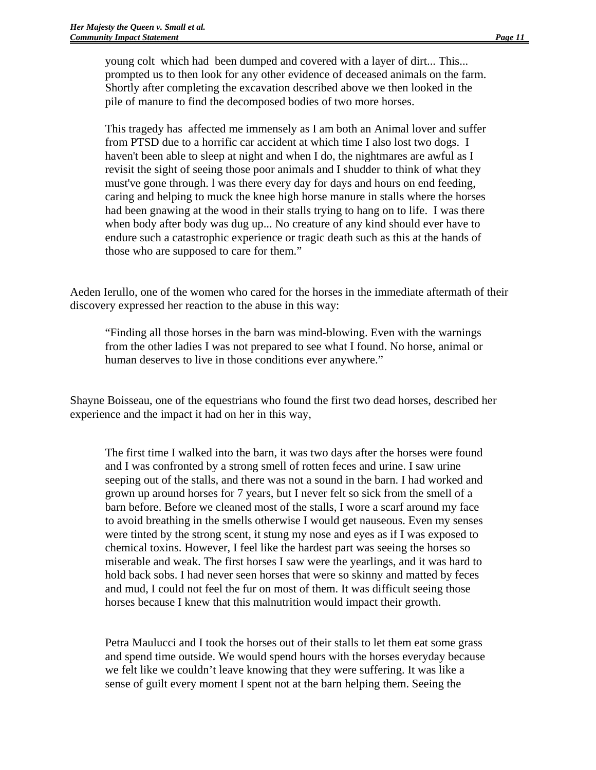young colt which had been dumped and covered with a layer of dirt... This... prompted us to then look for any other evidence of deceased animals on the farm. Shortly after completing the excavation described above we then looked in the pile of manure to find the decomposed bodies of two more horses.

This tragedy has affected me immensely as I am both an Animal lover and suffer from PTSD due to a horrific car accident at which time I also lost two dogs. I haven't been able to sleep at night and when I do, the nightmares are awful as I revisit the sight of seeing those poor animals and I shudder to think of what they must've gone through. l was there every day for days and hours on end feeding, caring and helping to muck the knee high horse manure in stalls where the horses had been gnawing at the wood in their stalls trying to hang on to life. I was there when body after body was dug up... No creature of any kind should ever have to endure such a catastrophic experience or tragic death such as this at the hands of those who are supposed to care for them."

Aeden Ierullo, one of the women who cared for the horses in the immediate aftermath of their discovery expressed her reaction to the abuse in this way:

"Finding all those horses in the barn was mind-blowing. Even with the warnings from the other ladies I was not prepared to see what I found. No horse, animal or human deserves to live in those conditions ever anywhere."

Shayne Boisseau, one of the equestrians who found the first two dead horses, described her experience and the impact it had on her in this way,

The first time I walked into the barn, it was two days after the horses were found and I was confronted by a strong smell of rotten feces and urine. I saw urine seeping out of the stalls, and there was not a sound in the barn. I had worked and grown up around horses for 7 years, but I never felt so sick from the smell of a barn before. Before we cleaned most of the stalls, I wore a scarf around my face to avoid breathing in the smells otherwise I would get nauseous. Even my senses were tinted by the strong scent, it stung my nose and eyes as if I was exposed to chemical toxins. However, I feel like the hardest part was seeing the horses so miserable and weak. The first horses I saw were the yearlings, and it was hard to hold back sobs. I had never seen horses that were so skinny and matted by feces and mud, I could not feel the fur on most of them. It was difficult seeing those horses because I knew that this malnutrition would impact their growth.

Petra Maulucci and I took the horses out of their stalls to let them eat some grass and spend time outside. We would spend hours with the horses everyday because we felt like we couldn't leave knowing that they were suffering. It was like a sense of guilt every moment I spent not at the barn helping them. Seeing the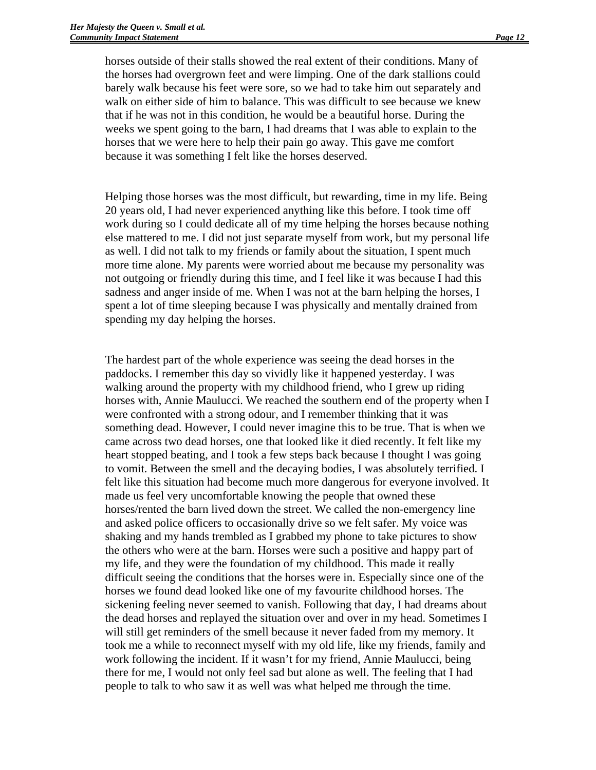horses outside of their stalls showed the real extent of their conditions. Many of the horses had overgrown feet and were limping. One of the dark stallions could barely walk because his feet were sore, so we had to take him out separately and walk on either side of him to balance. This was difficult to see because we knew that if he was not in this condition, he would be a beautiful horse. During the weeks we spent going to the barn, I had dreams that I was able to explain to the horses that we were here to help their pain go away. This gave me comfort because it was something I felt like the horses deserved.

Helping those horses was the most difficult, but rewarding, time in my life. Being 20 years old, I had never experienced anything like this before. I took time off work during so I could dedicate all of my time helping the horses because nothing else mattered to me. I did not just separate myself from work, but my personal life as well. I did not talk to my friends or family about the situation, I spent much more time alone. My parents were worried about me because my personality was not outgoing or friendly during this time, and I feel like it was because I had this sadness and anger inside of me. When I was not at the barn helping the horses, I spent a lot of time sleeping because I was physically and mentally drained from spending my day helping the horses.

The hardest part of the whole experience was seeing the dead horses in the paddocks. I remember this day so vividly like it happened yesterday. I was walking around the property with my childhood friend, who I grew up riding horses with, Annie Maulucci. We reached the southern end of the property when I were confronted with a strong odour, and I remember thinking that it was something dead. However, I could never imagine this to be true. That is when we came across two dead horses, one that looked like it died recently. It felt like my heart stopped beating, and I took a few steps back because I thought I was going to vomit. Between the smell and the decaying bodies, I was absolutely terrified. I felt like this situation had become much more dangerous for everyone involved. It made us feel very uncomfortable knowing the people that owned these horses/rented the barn lived down the street. We called the non-emergency line and asked police officers to occasionally drive so we felt safer. My voice was shaking and my hands trembled as I grabbed my phone to take pictures to show the others who were at the barn. Horses were such a positive and happy part of my life, and they were the foundation of my childhood. This made it really difficult seeing the conditions that the horses were in. Especially since one of the horses we found dead looked like one of my favourite childhood horses. The sickening feeling never seemed to vanish. Following that day, I had dreams about the dead horses and replayed the situation over and over in my head. Sometimes I will still get reminders of the smell because it never faded from my memory. It took me a while to reconnect myself with my old life, like my friends, family and work following the incident. If it wasn't for my friend, Annie Maulucci, being there for me, I would not only feel sad but alone as well. The feeling that I had people to talk to who saw it as well was what helped me through the time.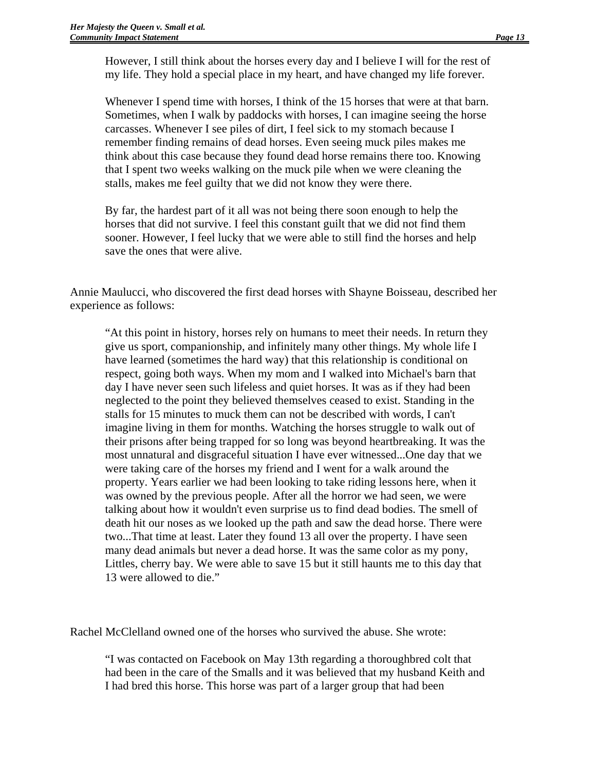However, I still think about the horses every day and I believe I will for the rest of my life. They hold a special place in my heart, and have changed my life forever.

Whenever I spend time with horses, I think of the 15 horses that were at that barn. Sometimes, when I walk by paddocks with horses, I can imagine seeing the horse carcasses. Whenever I see piles of dirt, I feel sick to my stomach because I remember finding remains of dead horses. Even seeing muck piles makes me think about this case because they found dead horse remains there too. Knowing that I spent two weeks walking on the muck pile when we were cleaning the stalls, makes me feel guilty that we did not know they were there.

By far, the hardest part of it all was not being there soon enough to help the horses that did not survive. I feel this constant guilt that we did not find them sooner. However, I feel lucky that we were able to still find the horses and help save the ones that were alive.

Annie Maulucci, who discovered the first dead horses with Shayne Boisseau, described her experience as follows:

"At this point in history, horses rely on humans to meet their needs. In return they give us sport, companionship, and infinitely many other things. My whole life I have learned (sometimes the hard way) that this relationship is conditional on respect, going both ways. When my mom and I walked into Michael's barn that day I have never seen such lifeless and quiet horses. It was as if they had been neglected to the point they believed themselves ceased to exist. Standing in the stalls for 15 minutes to muck them can not be described with words, I can't imagine living in them for months. Watching the horses struggle to walk out of their prisons after being trapped for so long was beyond heartbreaking. It was the most unnatural and disgraceful situation I have ever witnessed...One day that we were taking care of the horses my friend and I went for a walk around the property. Years earlier we had been looking to take riding lessons here, when it was owned by the previous people. After all the horror we had seen, we were talking about how it wouldn't even surprise us to find dead bodies. The smell of death hit our noses as we looked up the path and saw the dead horse. There were two...That time at least. Later they found 13 all over the property. I have seen many dead animals but never a dead horse. It was the same color as my pony, Littles, cherry bay. We were able to save 15 but it still haunts me to this day that 13 were allowed to die."

Rachel McClelland owned one of the horses who survived the abuse. She wrote:

"I was contacted on Facebook on May 13th regarding a thoroughbred colt that had been in the care of the Smalls and it was believed that my husband Keith and I had bred this horse. This horse was part of a larger group that had been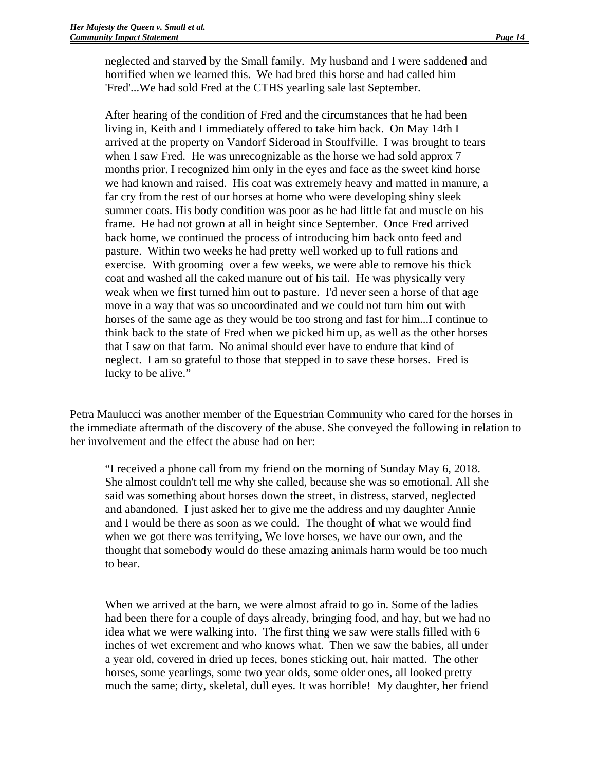neglected and starved by the Small family. My husband and I were saddened and horrified when we learned this. We had bred this horse and had called him 'Fred'...We had sold Fred at the CTHS yearling sale last September.

After hearing of the condition of Fred and the circumstances that he had been living in, Keith and I immediately offered to take him back. On May 14th I arrived at the property on Vandorf Sideroad in Stouffville. I was brought to tears when I saw Fred. He was unrecognizable as the horse we had sold approx 7 months prior. I recognized him only in the eyes and face as the sweet kind horse we had known and raised. His coat was extremely heavy and matted in manure, a far cry from the rest of our horses at home who were developing shiny sleek summer coats. His body condition was poor as he had little fat and muscle on his frame. He had not grown at all in height since September. Once Fred arrived back home, we continued the process of introducing him back onto feed and pasture. Within two weeks he had pretty well worked up to full rations and exercise. With grooming over a few weeks, we were able to remove his thick coat and washed all the caked manure out of his tail. He was physically very weak when we first turned him out to pasture. I'd never seen a horse of that age move in a way that was so uncoordinated and we could not turn him out with horses of the same age as they would be too strong and fast for him...I continue to think back to the state of Fred when we picked him up, as well as the other horses that I saw on that farm. No animal should ever have to endure that kind of neglect. I am so grateful to those that stepped in to save these horses. Fred is lucky to be alive."

Petra Maulucci was another member of the Equestrian Community who cared for the horses in the immediate aftermath of the discovery of the abuse. She conveyed the following in relation to her involvement and the effect the abuse had on her:

"I received a phone call from my friend on the morning of Sunday May 6, 2018. She almost couldn't tell me why she called, because she was so emotional. All she said was something about horses down the street, in distress, starved, neglected and abandoned. I just asked her to give me the address and my daughter Annie and I would be there as soon as we could. The thought of what we would find when we got there was terrifying, We love horses, we have our own, and the thought that somebody would do these amazing animals harm would be too much to bear.

When we arrived at the barn, we were almost afraid to go in. Some of the ladies had been there for a couple of days already, bringing food, and hay, but we had no idea what we were walking into. The first thing we saw were stalls filled with 6 inches of wet excrement and who knows what. Then we saw the babies, all under a year old, covered in dried up feces, bones sticking out, hair matted. The other horses, some yearlings, some two year olds, some older ones, all looked pretty much the same; dirty, skeletal, dull eyes. It was horrible! My daughter, her friend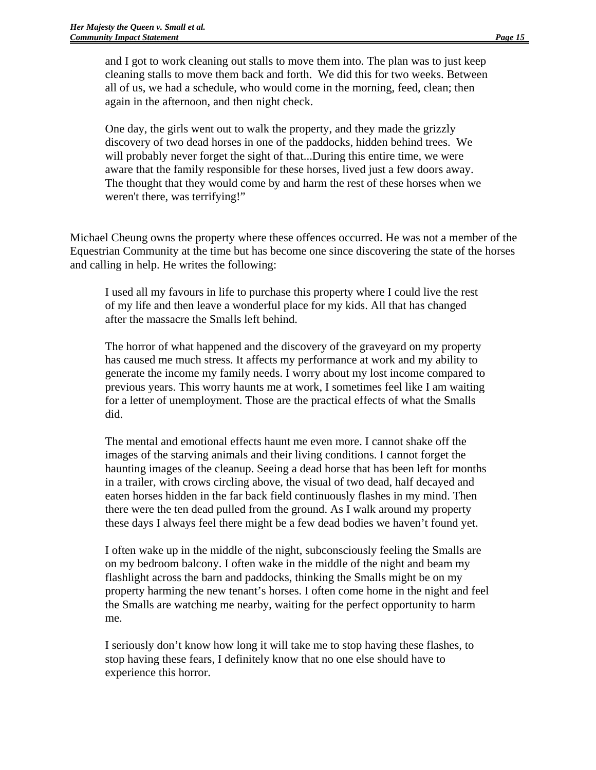and I got to work cleaning out stalls to move them into. The plan was to just keep cleaning stalls to move them back and forth. We did this for two weeks. Between all of us, we had a schedule, who would come in the morning, feed, clean; then again in the afternoon, and then night check.

One day, the girls went out to walk the property, and they made the grizzly discovery of two dead horses in one of the paddocks, hidden behind trees. We will probably never forget the sight of that...During this entire time, we were aware that the family responsible for these horses, lived just a few doors away. The thought that they would come by and harm the rest of these horses when we weren't there, was terrifying!"

Michael Cheung owns the property where these offences occurred. He was not a member of the Equestrian Community at the time but has become one since discovering the state of the horses and calling in help. He writes the following:

I used all my favours in life to purchase this property where I could live the rest of my life and then leave a wonderful place for my kids. All that has changed after the massacre the Smalls left behind.

The horror of what happened and the discovery of the graveyard on my property has caused me much stress. It affects my performance at work and my ability to generate the income my family needs. I worry about my lost income compared to previous years. This worry haunts me at work, I sometimes feel like I am waiting for a letter of unemployment. Those are the practical effects of what the Smalls did.

The mental and emotional effects haunt me even more. I cannot shake off the images of the starving animals and their living conditions. I cannot forget the haunting images of the cleanup. Seeing a dead horse that has been left for months in a trailer, with crows circling above, the visual of two dead, half decayed and eaten horses hidden in the far back field continuously flashes in my mind. Then there were the ten dead pulled from the ground. As I walk around my property these days I always feel there might be a few dead bodies we haven't found yet.

I often wake up in the middle of the night, subconsciously feeling the Smalls are on my bedroom balcony. I often wake in the middle of the night and beam my flashlight across the barn and paddocks, thinking the Smalls might be on my property harming the new tenant's horses. I often come home in the night and feel the Smalls are watching me nearby, waiting for the perfect opportunity to harm me.

I seriously don't know how long it will take me to stop having these flashes, to stop having these fears, I definitely know that no one else should have to experience this horror.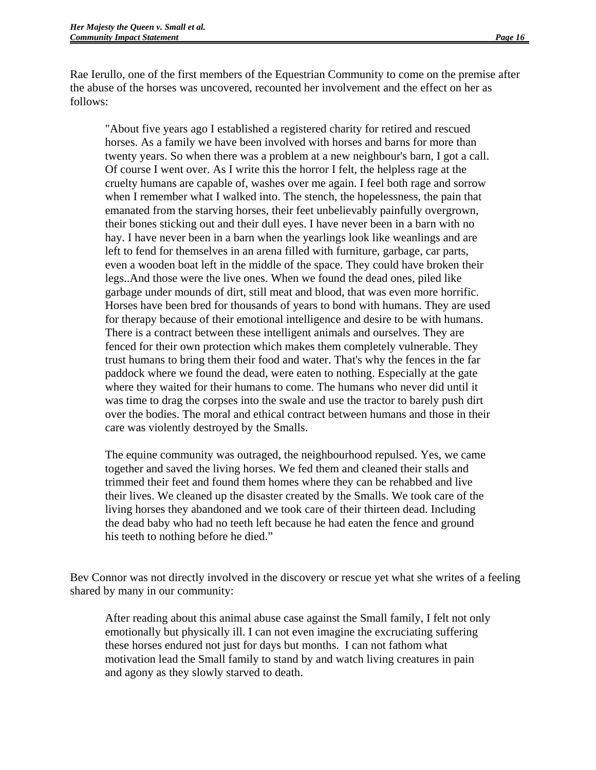Rae Ierullo, one of the first members of the Equestrian Community to come on the premise after the abuse of the horses was uncovered, recounted her involvement and the effect on her as follows:

"About five years ago I established a registered charity for retired and rescued horses. As a family we have been involved with horses and barns for more than twenty years. So when there was a problem at a new neighbour's barn, I got a call. Of course I went over. As I write this the horror I felt, the helpless rage at the cruelty humans are capable of, washes over me again. I feel both rage and sorrow when I remember what I walked into. The stench, the hopelessness, the pain that emanated from the starving horses, their feet unbelievably painfully overgrown, their bones sticking out and their dull eyes. I have never been in a barn with no hay. I have never been in a barn when the yearlings look like weanlings and are left to fend for themselves in an arena filled with furniture, garbage, car parts, even a wooden boat left in the middle of the space. They could have broken their legs..And those were the live ones. When we found the dead ones, piled like garbage under mounds of dirt, still meat and blood, that was even more horrific. Horses have been bred for thousands of years to bond with humans. They are used for therapy because of their emotional intelligence and desire to be with humans. There is a contract between these intelligent animals and ourselves. They are fenced for their own protection which makes them completely vulnerable. They trust humans to bring them their food and water. That's why the fences in the far paddock where we found the dead, were eaten to nothing. Especially at the gate where they waited for their humans to come. The humans who never did until it was time to drag the corpses into the swale and use the tractor to barely push dirt over the bodies. The moral and ethical contract between humans and those in their care was violently destroyed by the Smalls.

The equine community was outraged, the neighbourhood repulsed. Yes, we came together and saved the living horses. We fed them and cleaned their stalls and trimmed their feet and found them homes where they can be rehabbed and live their lives. We cleaned up the disaster created by the Smalls. We took care of the living horses they abandoned and we took care of their thirteen dead. Including the dead baby who had no teeth left because he had eaten the fence and ground his teeth to nothing before he died."

Bev Connor was not directly involved in the discovery or rescue yet what she writes of a feeling shared by many in our community:

After reading about this animal abuse case against the Small family, I felt not only emotionally but physically ill. I can not even imagine the excruciating suffering these horses endured not just for days but months. I can not fathom what motivation lead the Small family to stand by and watch living creatures in pain and agony as they slowly starved to death.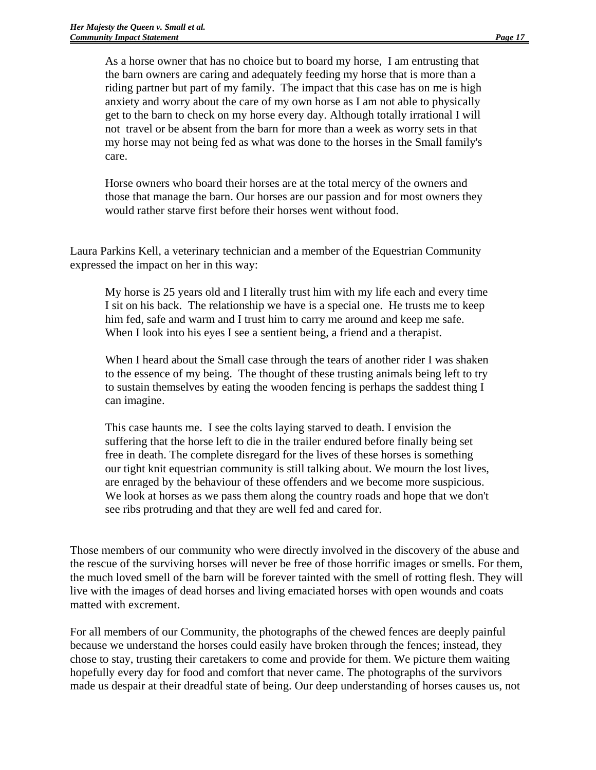As a horse owner that has no choice but to board my horse, I am entrusting that the barn owners are caring and adequately feeding my horse that is more than a riding partner but part of my family. The impact that this case has on me is high anxiety and worry about the care of my own horse as I am not able to physically get to the barn to check on my horse every day. Although totally irrational I will not travel or be absent from the barn for more than a week as worry sets in that my horse may not being fed as what was done to the horses in the Small family's care.

Horse owners who board their horses are at the total mercy of the owners and those that manage the barn. Our horses are our passion and for most owners they would rather starve first before their horses went without food.

Laura Parkins Kell, a veterinary technician and a member of the Equestrian Community expressed the impact on her in this way:

My horse is 25 years old and I literally trust him with my life each and every time I sit on his back. The relationship we have is a special one. He trusts me to keep him fed, safe and warm and I trust him to carry me around and keep me safe. When I look into his eyes I see a sentient being, a friend and a therapist.

When I heard about the Small case through the tears of another rider I was shaken to the essence of my being. The thought of these trusting animals being left to try to sustain themselves by eating the wooden fencing is perhaps the saddest thing I can imagine.

This case haunts me. I see the colts laying starved to death. I envision the suffering that the horse left to die in the trailer endured before finally being set free in death. The complete disregard for the lives of these horses is something our tight knit equestrian community is still talking about. We mourn the lost lives, are enraged by the behaviour of these offenders and we become more suspicious. We look at horses as we pass them along the country roads and hope that we don't see ribs protruding and that they are well fed and cared for.

Those members of our community who were directly involved in the discovery of the abuse and the rescue of the surviving horses will never be free of those horrific images or smells. For them, the much loved smell of the barn will be forever tainted with the smell of rotting flesh. They will live with the images of dead horses and living emaciated horses with open wounds and coats matted with excrement.

For all members of our Community, the photographs of the chewed fences are deeply painful because we understand the horses could easily have broken through the fences; instead, they chose to stay, trusting their caretakers to come and provide for them. We picture them waiting hopefully every day for food and comfort that never came. The photographs of the survivors made us despair at their dreadful state of being. Our deep understanding of horses causes us, not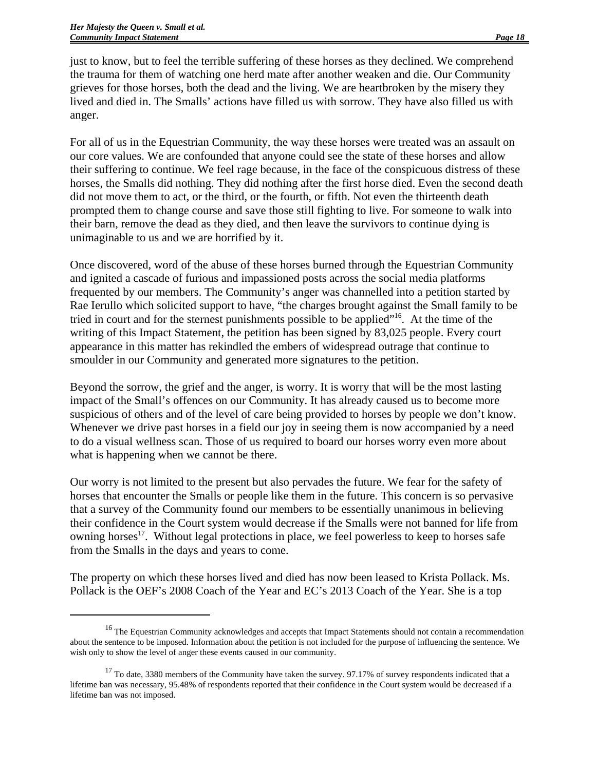just to know, but to feel the terrible suffering of these horses as they declined. We comprehend the trauma for them of watching one herd mate after another weaken and die. Our Community grieves for those horses, both the dead and the living. We are heartbroken by the misery they lived and died in. The Smalls' actions have filled us with sorrow. They have also filled us with anger.

For all of us in the Equestrian Community, the way these horses were treated was an assault on our core values. We are confounded that anyone could see the state of these horses and allow their suffering to continue. We feel rage because, in the face of the conspicuous distress of these horses, the Smalls did nothing. They did nothing after the first horse died. Even the second death did not move them to act, or the third, or the fourth, or fifth. Not even the thirteenth death prompted them to change course and save those still fighting to live. For someone to walk into their barn, remove the dead as they died, and then leave the survivors to continue dying is unimaginable to us and we are horrified by it.

Once discovered, word of the abuse of these horses burned through the Equestrian Community and ignited a cascade of furious and impassioned posts across the social media platforms frequented by our members. The Community's anger was channelled into a petition started by Rae Ierullo which solicited support to have, "the charges brought against the Small family to be tried in court and for the sternest punishments possible to be applied"16. At the time of the writing of this Impact Statement, the petition has been signed by 83,025 people. Every court appearance in this matter has rekindled the embers of widespread outrage that continue to smoulder in our Community and generated more signatures to the petition.

Beyond the sorrow, the grief and the anger, is worry. It is worry that will be the most lasting impact of the Small's offences on our Community. It has already caused us to become more suspicious of others and of the level of care being provided to horses by people we don't know. Whenever we drive past horses in a field our joy in seeing them is now accompanied by a need to do a visual wellness scan. Those of us required to board our horses worry even more about what is happening when we cannot be there.

Our worry is not limited to the present but also pervades the future. We fear for the safety of horses that encounter the Smalls or people like them in the future. This concern is so pervasive that a survey of the Community found our members to be essentially unanimous in believing their confidence in the Court system would decrease if the Smalls were not banned for life from owning horses<sup>17</sup>. Without legal protections in place, we feel powerless to keep to horses safe from the Smalls in the days and years to come.

The property on which these horses lived and died has now been leased to Krista Pollack. Ms. Pollack is the OEF's 2008 Coach of the Year and EC's 2013 Coach of the Year. She is a top

<sup>&</sup>lt;sup>16</sup> The Equestrian Community acknowledges and accepts that Impact Statements should not contain a recommendation about the sentence to be imposed. Information about the petition is not included for the purpose of influencing the sentence. We wish only to show the level of anger these events caused in our community.

<sup>&</sup>lt;sup>17</sup> To date, 3380 members of the Community have taken the survey. 97.17% of survey respondents indicated that a lifetime ban was necessary, 95.48% of respondents reported that their confidence in the Court system would be decreased if a lifetime ban was not imposed.